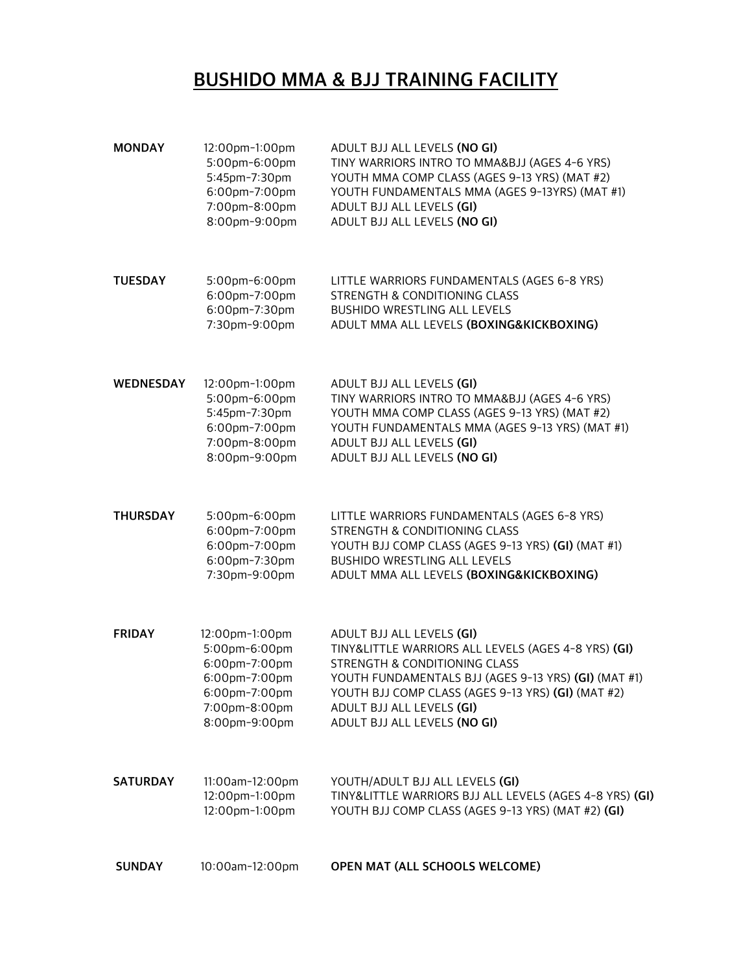### BUSHIDO MMA & BJJ TRAINING FACILITY

- MONDAY 12:00pm-1:00pm ADULT BJJ ALL LEVELS (NO GI)<br>5:00pm-6:00pm TINY WARRIORS INTRO TO MMA TINY WARRIORS INTRO TO MMA&BJJ (AGES 4-6 YRS) 5:45pm-7:30pm YOUTH MMA COMP CLASS (AGES 9-13 YRS) (MAT #2) 6:00pm-7:00pm YOUTH FUNDAMENTALS MMA (AGES 9-13YRS) (MAT #1) 7:00pm-8:00pm ADULT BJJ ALL LEVELS (GI)<br>8:00pm-9:00pm ADULT BJJ ALL LEVELS (NO ADULT BJJ ALL LEVELS (NO GI) TUESDAY 5:00pm-6:00pm LITTLE WARRIORS FUNDAMENTALS (AGES 6-8 YRS) 6:00pm-7:00pm STRENGTH & CONDITIONING CLASS<br>6:00pm-7:30pm BUSHIDO WRESTLING ALL LEVELS 6:00pm-7:30pm BUSHIDO WRESTLING ALL LEVELS<br>7:30pm-9:00pm ADULT MMA ALL LEVELS (BOXING ADULT MMA ALL LEVELS (BOXING&KICKBOXING) WEDNESDAY 12:00pm-1:00pm ADULT BJJ ALL LEVELS (GI) 5:00pm-6:00pm TINY WARRIORS INTRO TO MMA&BJJ (AGES 4-6 YRS) YOUTH MMA COMP CLASS (AGES 9-13 YRS) (MAT #2) 6:00pm-7:00pm YOUTH FUNDAMENTALS MMA (AGES 9-13 YRS) (MAT #1) 7:00pm-8:00pm ADULT BJJ ALL LEVELS (GI) 8:00pm-9:00pm ADULT BJJ ALL LEVELS (NO GI) THURSDAY 5:00pm-6:00pm LITTLE WARRIORS FUNDAMENTALS (AGES 6-8 YRS) 6:00pm-7:00pm STRENGTH & CONDITIONING CLASS<br>6:00pm-7:00pm YOUTH BJJ COMP CLASS (AGES 9-13 YOUTH BJJ COMP CLASS (AGES 9-13 YRS) (GI) (MAT #1) 6:00pm-7:30pm BUSHIDO WRESTLING ALL LEVELS<br>7:30pm-9:00pm ADULT MMA ALL LEVELS (BOXING ADULT MMA ALL LEVELS (BOXING&KICKBOXING) FRIDAY 12:00pm-1:00pm ADULT BJJ ALL LEVELS (GI)<br>5:00pm-6:00pm TINY&LITTLE WARRIORS ALL TINY&LITTLE WARRIORS ALL LEVELS (AGES 4-8 YRS) (GI) 6:00pm-7:00pm STRENGTH & CONDITIONING CLASS 6:00pm-7:00pm YOUTH FUNDAMENTALS BJJ (AGES 9-13 YRS) (GI) (MAT #1) 6:00pm-7:00pm YOUTH BJJ COMP CLASS (AGES 9-13 YRS) (GI) (MAT #2)<br>7:00pm-8:00pm ADULT BJJ ALL LEVELS (GI) ADULT BJJ ALL LEVELS (GI) 8:00pm-9:00pm ADULT BJJ ALL LEVELS (NO GI) SATURDAY 11:00am-12:00pm YOUTH/ADULT BJJ ALL LEVELS (GI)
- 12:00pm-1:00pm TINY&LITTLE WARRIORS BJJ ALL LEVELS (AGES 4-8 YRS) (GI)<br>12:00pm-1:00pm YOUTH BJJ COMP CLASS (AGES 9-13 YRS) (MAT #2) (GI) YOUTH BJJ COMP CLASS (AGES 9-13 YRS) (MAT #2) (GI)
- SUNDAY 10:00am-12:00pm OPEN MAT (ALL SCHOOLS WELCOME)